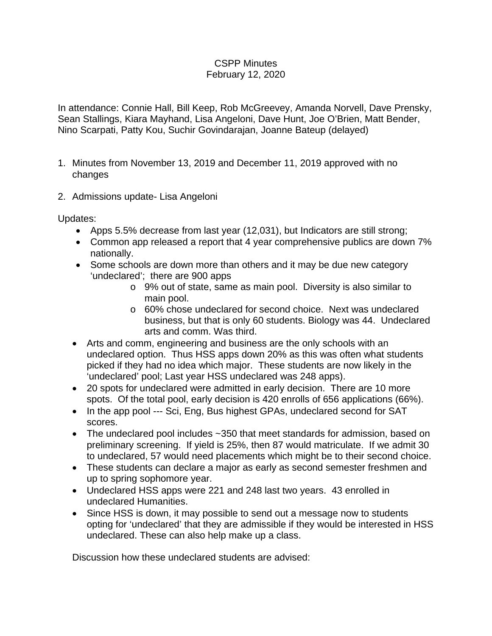## CSPP Minutes February 12, 2020

In attendance: Connie Hall, Bill Keep, Rob McGreevey, Amanda Norvell, Dave Prensky, Sean Stallings, Kiara Mayhand, Lisa Angeloni, Dave Hunt, Joe O'Brien, Matt Bender, Nino Scarpati, Patty Kou, Suchir Govindarajan, Joanne Bateup (delayed)

- 1. Minutes from November 13, 2019 and December 11, 2019 approved with no changes
- 2. Admissions update- Lisa Angeloni

Updates:

- Apps 5.5% decrease from last year (12,031), but Indicators are still strong;
- Common app released a report that 4 year comprehensive publics are down 7% nationally.
- Some schools are down more than others and it may be due new category 'undeclared'; there are 900 apps
	- o 9% out of state, same as main pool. Diversity is also similar to main pool.
	- o 60% chose undeclared for second choice. Next was undeclared business, but that is only 60 students. Biology was 44. Undeclared arts and comm. Was third.
- Arts and comm, engineering and business are the only schools with an undeclared option. Thus HSS apps down 20% as this was often what students picked if they had no idea which major. These students are now likely in the 'undeclared' pool; Last year HSS undeclared was 248 apps).
- 20 spots for undeclared were admitted in early decision. There are 10 more spots. Of the total pool, early decision is 420 enrolls of 656 applications (66%).
- In the app pool --- Sci, Eng, Bus highest GPAs, undeclared second for SAT scores.
- The undeclared pool includes ~350 that meet standards for admission, based on preliminary screening. If yield is 25%, then 87 would matriculate. If we admit 30 to undeclared, 57 would need placements which might be to their second choice.
- These students can declare a major as early as second semester freshmen and up to spring sophomore year.
- Undeclared HSS apps were 221 and 248 last two years. 43 enrolled in undeclared Humanities.
- Since HSS is down, it may possible to send out a message now to students opting for 'undeclared' that they are admissible if they would be interested in HSS undeclared. These can also help make up a class.

Discussion how these undeclared students are advised: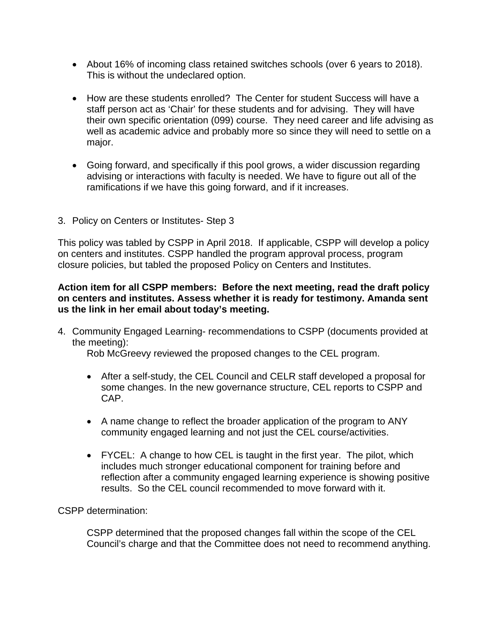- About 16% of incoming class retained switches schools (over 6 years to 2018). This is without the undeclared option.
- How are these students enrolled? The Center for student Success will have a staff person act as 'Chair' for these students and for advising. They will have their own specific orientation (099) course. They need career and life advising as well as academic advice and probably more so since they will need to settle on a major.
- Going forward, and specifically if this pool grows, a wider discussion regarding advising or interactions with faculty is needed. We have to figure out all of the ramifications if we have this going forward, and if it increases.
- 3. Policy on Centers or Institutes- Step 3

This policy was tabled by CSPP in April 2018. If applicable, CSPP will develop a policy on centers and institutes. CSPP handled the program approval process, program closure policies, but tabled the proposed Policy on Centers and Institutes.

## **Action item for all CSPP members: Before the next meeting, read the draft policy on centers and institutes. Assess whether it is ready for testimony. Amanda sent us the link in her email about today's meeting.**

4. Community Engaged Learning- recommendations to CSPP (documents provided at the meeting):

Rob McGreevy reviewed the proposed changes to the CEL program.

- After a self-study, the CEL Council and CELR staff developed a proposal for some changes. In the new governance structure, CEL reports to CSPP and CAP.
- A name change to reflect the broader application of the program to ANY community engaged learning and not just the CEL course/activities.
- FYCEL: A change to how CEL is taught in the first year. The pilot, which includes much stronger educational component for training before and reflection after a community engaged learning experience is showing positive results. So the CEL council recommended to move forward with it.

CSPP determination:

CSPP determined that the proposed changes fall within the scope of the CEL Council's charge and that the Committee does not need to recommend anything.